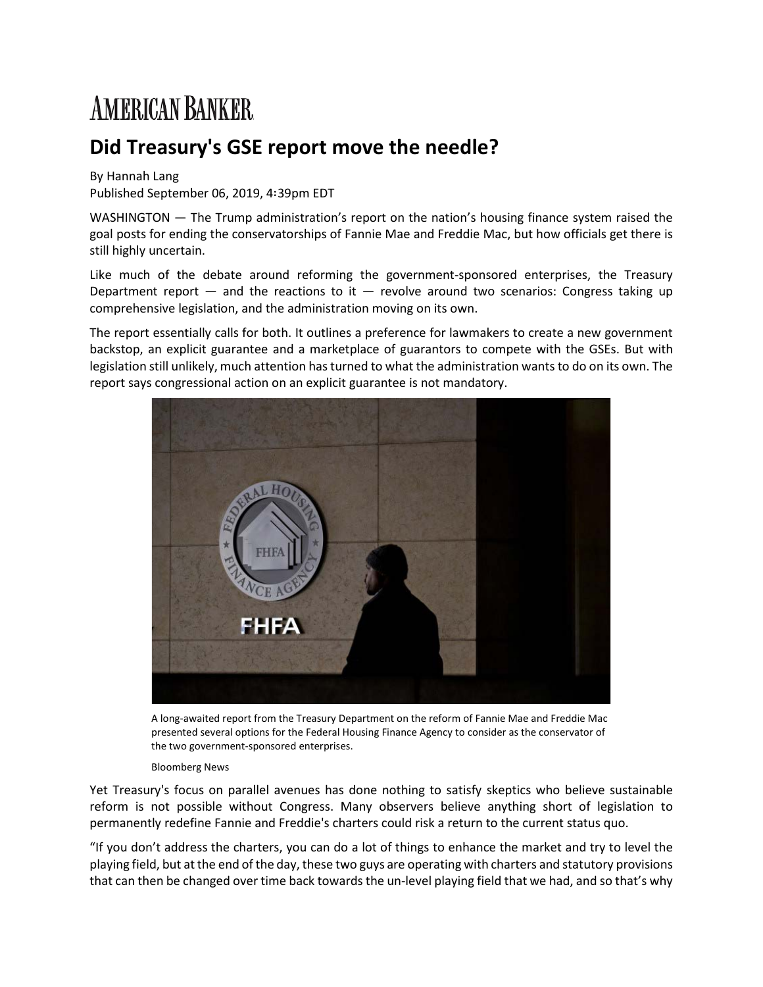## **AMERICAN BANKER**

## **Did Treasury's GSE report move the needle?**

## By Hannah Lang

Published September 06, 2019, 4∶39pm EDT

WASHINGTON — The Trump administration's report on the nation's housing finance system raised the goal posts for ending the conservatorships of Fannie Mae and Freddie Mac, but how officials get there is still highly uncertain.

Like much of the debate around reforming the government-sponsored enterprises, the Treasury Department report  $-$  and the reactions to it  $-$  revolve around two scenarios: Congress taking up comprehensive legislation, and the administration moving on its own.

The report essentially calls for both. It outlines a preference for lawmakers to create a new government backstop, an explicit guarantee and a marketplace of guarantors to compete with the GSEs. But with legislation still unlikely, much attention has turned to what the administration wants to do on its own. The report says congressional action on an explicit guarantee is not mandatory.



A long-awaited report from the Treasury Department on the reform of Fannie Mae and Freddie Mac presented several options for the Federal Housing Finance Agency to consider as the conservator of the two government-sponsored enterprises.

## Bloomberg News

Yet Treasury's focus on parallel avenues has done nothing to satisfy skeptics who believe sustainable reform is not possible without Congress. Many observers believe anything short of legislation to permanently redefine Fannie and Freddie's charters could risk a return to the current status quo.

"If you don't address the charters, you can do a lot of things to enhance the market and try to level the playing field, but at the end of the day, these two guys are operating with charters and statutory provisions that can then be changed over time back towards the un-level playing field that we had, and so that's why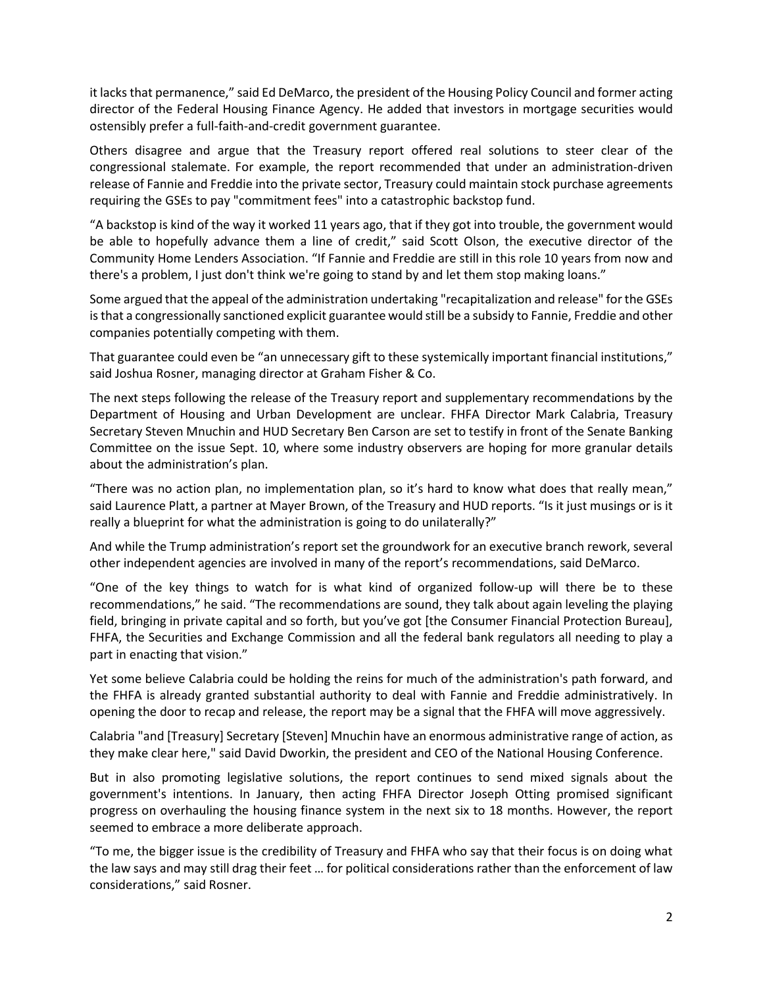it lacks that permanence," said Ed DeMarco, the president of the Housing Policy Council and former acting director of the Federal Housing Finance Agency. He added that investors in mortgage securities would ostensibly prefer a full-faith-and-credit government guarantee.

Others disagree and argue that the Treasury report offered real solutions to steer clear of the congressional stalemate. For example, the report recommended that under an administration-driven release of Fannie and Freddie into the private sector, Treasury could maintain stock purchase agreements requiring the GSEs to pay "commitment fees" into a catastrophic backstop fund.

"A backstop is kind of the way it worked 11 years ago, that if they got into trouble, the government would be able to hopefully advance them a line of credit," said Scott Olson, the executive director of the Community Home Lenders Association. "If Fannie and Freddie are still in this role 10 years from now and there's a problem, I just don't think we're going to stand by and let them stop making loans."

Some argued that the appeal of the administration undertaking "recapitalization and release" for the GSEs is that a congressionally sanctioned explicit guarantee would still be a subsidy to Fannie, Freddie and other companies potentially competing with them.

That guarantee could even be "an unnecessary gift to these systemically important financial institutions," said Joshua Rosner, managing director at Graham Fisher & Co.

The next steps following the release of the Treasury report and supplementary recommendations by the Department of Housing and Urban Development are unclear. FHFA Director Mark Calabria, Treasury Secretary Steven Mnuchin and HUD Secretary Ben Carson are set to testify in front of the Senate Banking Committee on the issue Sept. 10, where some industry observers are hoping for more granular details about the administration's plan.

"There was no action plan, no implementation plan, so it's hard to know what does that really mean," said Laurence Platt, a partner at Mayer Brown, of the Treasury and HUD reports. "Is it just musings or is it really a blueprint for what the administration is going to do unilaterally?"

And while the Trump administration's report set the groundwork for an executive branch rework, several other independent agencies are involved in many of the report's recommendations, said DeMarco.

"One of the key things to watch for is what kind of organized follow-up will there be to these recommendations," he said. "The recommendations are sound, they talk about again leveling the playing field, bringing in private capital and so forth, but you've got [the Consumer Financial Protection Bureau], FHFA, the Securities and Exchange Commission and all the federal bank regulators all needing to play a part in enacting that vision."

Yet some believe Calabria could be holding the reins for much of the administration's path forward, and the FHFA is already granted substantial authority to deal with Fannie and Freddie administratively. In opening the door to recap and release, the report may be a signal that the FHFA will move aggressively.

Calabria "and [Treasury] Secretary [Steven] Mnuchin have an enormous administrative range of action, as they make clear here," said David Dworkin, the president and CEO of the National Housing Conference.

But in also promoting legislative solutions, the report continues to send mixed signals about the government's intentions. In January, then acting FHFA Director Joseph Otting promised significant progress on overhauling the housing finance system in the next six to 18 months. However, the report seemed to embrace a more deliberate approach.

"To me, the bigger issue is the credibility of Treasury and FHFA who say that their focus is on doing what the law says and may still drag their feet … for political considerations rather than the enforcement of law considerations," said Rosner.